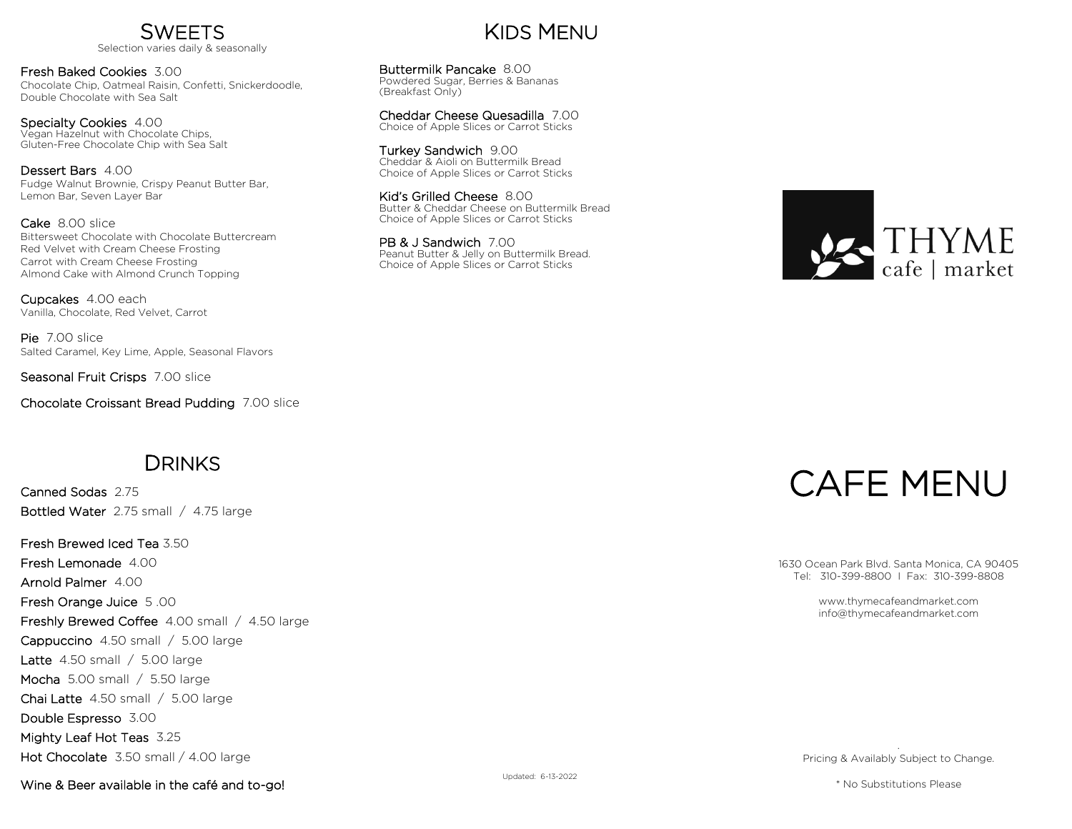

Fresh Baked Cookies 3.00 Chocolate Chip, Oatmeal Raisin, Confetti, Snickerdoodle, Double Chocolate with Sea Salt

Specialty Cookies 4.00 Vegan Hazelnut with Chocolate Chips, Gluten-Free Chocolate Chip with Sea Salt

Dessert Bars 4.00 Fudge Walnut Brownie, Crispy Peanut Butter Bar, Lemon Bar, Seven Layer Bar

Cake 8.00 slice Bittersweet Chocolate with Chocolate Buttercream Red Velvet with Cream Cheese Frosting Carrot with Cream Cheese Frosting Almond Cake with Almond Crunch Topping

Cupcakes 4.00 each Vanilla, Chocolate, Red Velvet, Carrot

Pie 7.00 slice Salted Caramel, Key Lime, Apple, Seasonal Flavors

Seasonal Fruit Crisps 7.00 slice

Chocolate Croissant Bread Pudding 7.00 slice

## **DRINKS**

Canned Sodas 2.75 Bottled Water 2.75 small / 4.75 large

Fresh Brewed Iced Tea 3.50 Fresh Lemonade 4.00 Arnold Palmer 4.00 Fresh Orange Juice 5 .00 Freshly Brewed Coffee 4.00 small / 4.50 large Cappuccino 4.50 small / 5.00 large Latte 4.50 small / 5.00 large Mocha 5.00 small / 5.50 large Chai Latte 4.50 small / 5.00 large Double Espresso 3.00 Mighty Leaf Hot Teas 3.25 Hot Chocolate 3.50 small / 4.00 large

Wine & Beer available in the café and to-go!

## KIDS MENU

Buttermilk Pancake 8.00 Powdered Sugar, Berries & Bananas (Breakfast Only)

Cheddar Cheese Quesadilla 7.00 Choice of Apple Slices or Carrot Sticks

Turkey Sandwich 9.00 Cheddar & Aioli on Buttermilk Bread Choice of Apple Slices or Carrot Sticks

Kid's Grilled Cheese 8.00 Butter & Cheddar Cheese on Buttermilk Bread Choice of Apple Slices or Carrot Sticks

PB & J Sandwich 7.00 Peanut Butter & Jelly on Buttermilk Bread. Choice of Apple Slices or Carrot Sticks



# CAFE MENU

1630 Ocean Park Blvd. Santa Monica, CA 90405 Tel: 310-399-8800 I Fax: 310-399-8808

> www.thymecafeandmarket.com info@thymecafeandmarket.com

. Pricing & Availably Subject to Change.

\* No Substitutions Please